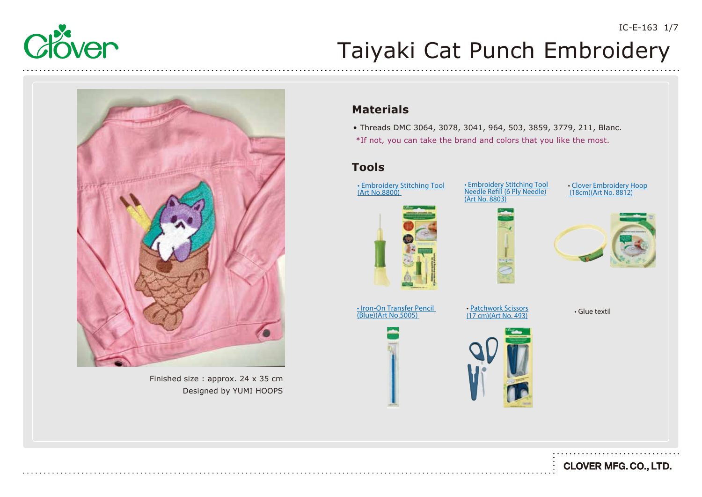



Finished size : approx. 24 x 35 cm Designed by YUMI HOOPS

### **Materials**

• Threads DMC 3064, 3078, 3041, 964, 503, 3859, 3779, 211, Blanc. \*If not, you can take the brand and colors that you like the most.

### **Tools**



[• Embroidery Stitching Tool](https://www.clover-mfg.com/product/12/113)  <u>Needle Refill (6 Ply Needle)</u>

• Clover Embroidery Hoop<br>(18cm)(Art No. 8812)





[• Iron-On Transfer Pencil](https://www.clover-mfg.com/product/8/304)  (Blue)(Art No.5005) [• Patchwork Scissors](https://www.clover-mfg.com/product/7/269)

• Patchwork Scissors<br>(17 cm)(Art No. 493)

• Glue textil



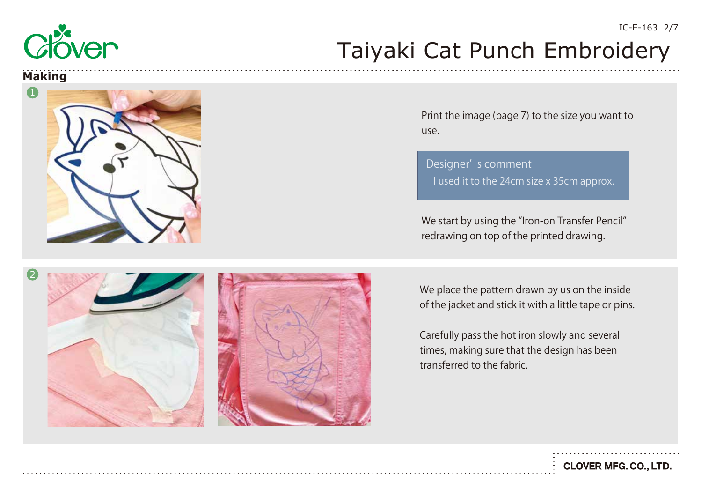

#### **Making**



Print the image (page 7) to the size you want to use.

Designer' s comment I used it to the 24cm size x 35cm approx.

We start by using the "Iron-on Transfer Pencil" redrawing on top of the printed drawing.



We place the pattern drawn by us on the inside of the jacket and stick it with a little tape or pins.

Carefully pass the hot iron slowly and several times, making sure that the design has been transferred to the fabric.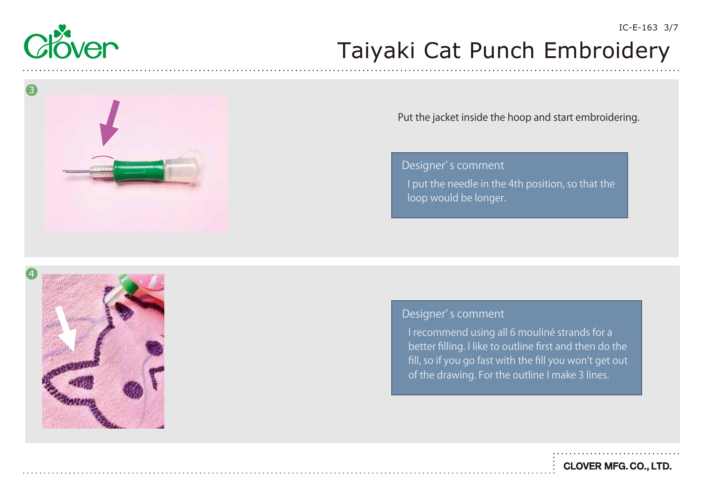



#### Put the jacket inside the hoop and start embroidering.

I put the needle in the 4th position, so that the loop would be longer. Designer' s comment



### Designer' s comment

I recommend using all 6 mouliné strands for a better filling. I like to outline first and then do the fill, so if you go fast with the fill you won't get out of the drawing. For the outline I make 3 lines.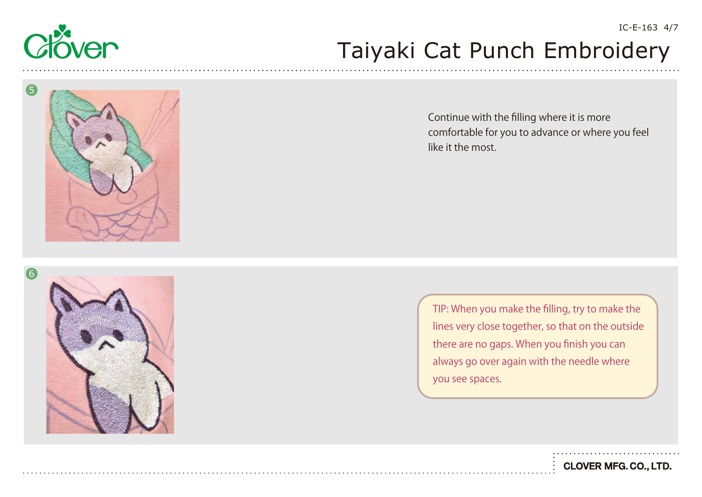

6

## Taiyaki Cat Punch Embroidery







TIP: When you make the filling, try to make the lines very close together, so that on the outside there are no gaps. When you finish you can always go over again with the needle where you see spaces.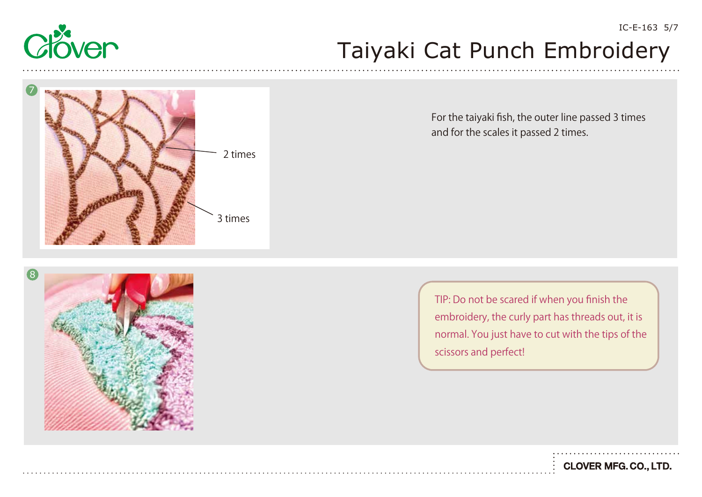



For the taiyaki fish, the outer line passed 3 times and for the scales it passed 2 times.



TIP: Do not be scared if when you finish the embroidery, the curly part has threads out, it is normal. You just have to cut with the tips of the scissors and perfect!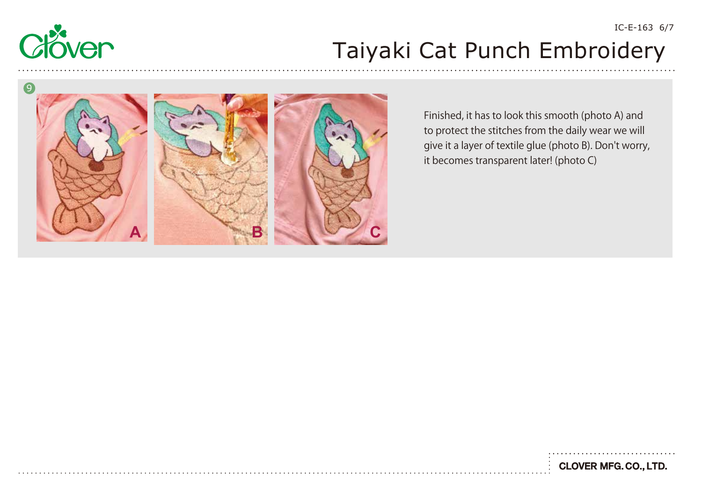



Finished, it has to look this smooth (photo A) and to protect the stitches from the daily wear we will give it a layer of textile glue (photo B). Don't worry, it becomes transparent later! (photo C)